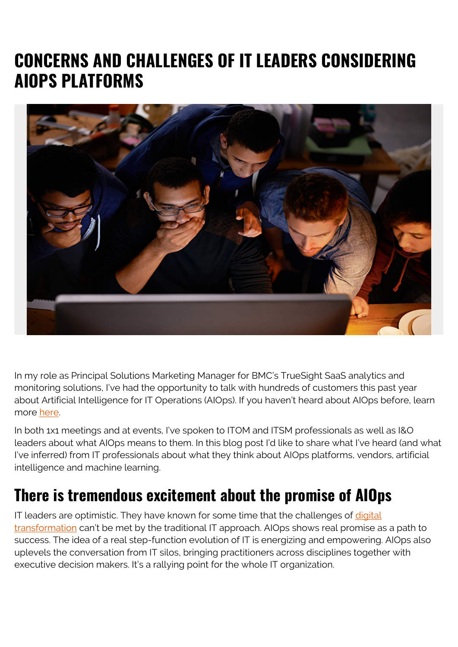## **CONCERNS AND CHALLENGES OF IT LEADERS CONSIDERING AIOPS PLATFORMS**



In my role as Principal Solutions Marketing Manager for BMC's TrueSight SaaS analytics and monitoring solutions, I've had the opportunity to talk with hundreds of customers this past year about Artificial Intelligence for IT Operations (AIOps). If you haven't heard about AIOps before, learn more [here.](https://blogs.bmc.com/learn/what-is-aiops.html)

In both 1x1 meetings and at events, I've spoken to ITOM and ITSM professionals as well as I&O leaders about what AIOps means to them. In this blog post I'd like to share what I've heard (and what I've inferred) from IT professionals about what they think about AIOps platforms, vendors, artificial intelligence and machine learning.

#### **There is tremendous excitement about the promise of AIOps**

IT leaders are optimistic. They have known for some time that the challenges of [digital](https://blogs.bmc.com/blogs/what-is-digital-transformation/) [transformation](https://blogs.bmc.com/blogs/what-is-digital-transformation/) can't be met by the traditional IT approach. AIOps shows real promise as a path to success. The idea of a real step-function evolution of IT is energizing and empowering. AIOps also uplevels the conversation from IT silos, bringing practitioners across disciplines together with executive decision makers. It's a rallying point for the whole IT organization.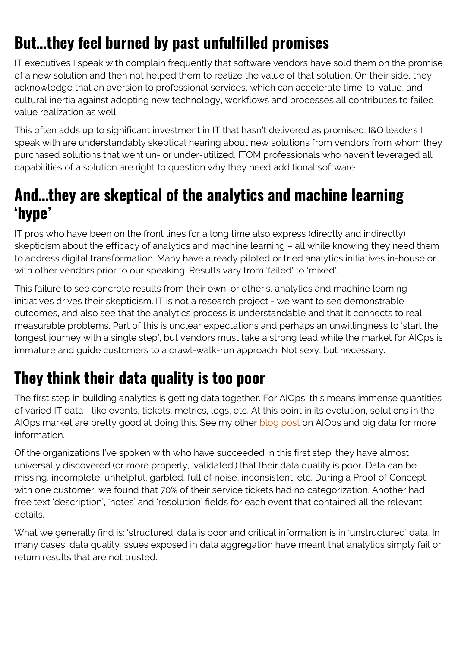## **But…they feel burned by past unfulfilled promises**

IT executives I speak with complain frequently that software vendors have sold them on the promise of a new solution and then not helped them to realize the value of that solution. On their side, they acknowledge that an aversion to professional services, which can accelerate time-to-value, and cultural inertia against adopting new technology, workflows and processes all contributes to failed value realization as well.

This often adds up to significant investment in IT that hasn't delivered as promised. I&O leaders I speak with are understandably skeptical hearing about new solutions from vendors from whom they purchased solutions that went un- or under-utilized. ITOM professionals who haven't leveraged all capabilities of a solution are right to question why they need additional software.

#### **And…they are skeptical of the analytics and machine learning 'hype'**

IT pros who have been on the front lines for a long time also express (directly and indirectly) skepticism about the efficacy of analytics and machine learning – all while knowing they need them to address digital transformation. Many have already piloted or tried analytics initiatives in-house or with other vendors prior to our speaking. Results vary from 'failed' to 'mixed'.

This failure to see concrete results from their own, or other's, analytics and machine learning initiatives drives their skepticism. IT is not a research project - we want to see demonstrable outcomes, and also see that the analytics process is understandable and that it connects to real, measurable problems. Part of this is unclear expectations and perhaps an unwillingness to 'start the longest journey with a single step', but vendors must take a strong lead while the market for AIOps is immature and guide customers to a crawl-walk-run approach. Not sexy, but necessary.

# **They think their data quality is too poor**

The first step in building analytics is getting data together. For AIOps, this means immense quantities of varied IT data - like events, tickets, metrics, logs, etc. At this point in its evolution, solutions in the AIOps market are pretty good at doing this. See my other **blog post** on AIOps and big data for more information.

Of the organizations I've spoken with who have succeeded in this first step, they have almost universally discovered (or more properly, 'validated') that their data quality is poor. Data can be missing, incomplete, unhelpful, garbled, full of noise, inconsistent, etc. During a Proof of Concept with one customer, we found that 70% of their service tickets had no categorization. Another had free text 'description', 'notes' and 'resolution' fields for each event that contained all the relevant details.

What we generally find is: 'structured' data is poor and critical information is in 'unstructured' data. In many cases, data quality issues exposed in data aggregation have meant that analytics simply fail or return results that are not trusted.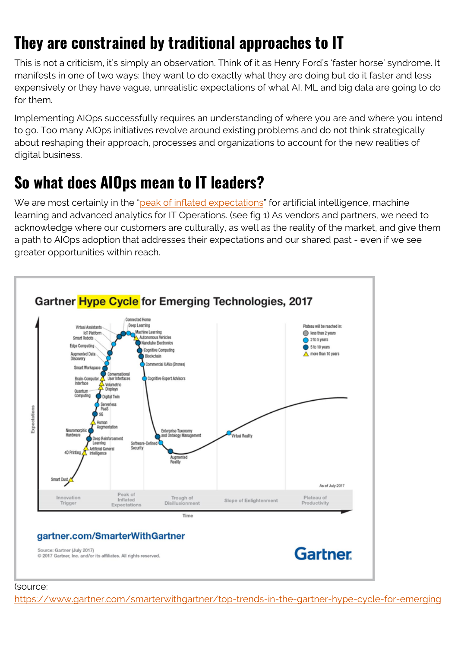## **They are constrained by traditional approaches to IT**

This is not a criticism, it's simply an observation. Think of it as Henry Ford's 'faster horse' syndrome. It manifests in one of two ways: they want to do exactly what they are doing but do it faster and less expensively or they have vague, unrealistic expectations of what AI, ML and big data are going to do for them.

Implementing AIOps successfully requires an understanding of where you are and where you intend to go. Too many AIOps initiatives revolve around existing problems and do not think strategically about reshaping their approach, processes and organizations to account for the new realities of digital business.

#### **So what does AIOps mean to IT leaders?**

We are most certainly in the "[peak of inflated expectations"](https://www.gartner.com/smarterwithgartner/top-trends-in-the-gartner-hype-cycle-for-emerging-technologies-2017/) for artificial intelligence, machine learning and advanced analytics for IT Operations. (see fig 1) As vendors and partners, we need to acknowledge where our customers are culturally, as well as the reality of the market, and give them a path to AIOps adoption that addresses their expectations and our shared past - even if we see greater opportunities within reach.



#### (source:

[https://www.gartner.com/smarterwithgartner/top-trends-in-the-gartner-hype-cycle-for-emerging](https://www.gartner.com/smarterwithgartner/top-trends-in-the-gartner-hype-cycle-for-emerging-technologies-2017/)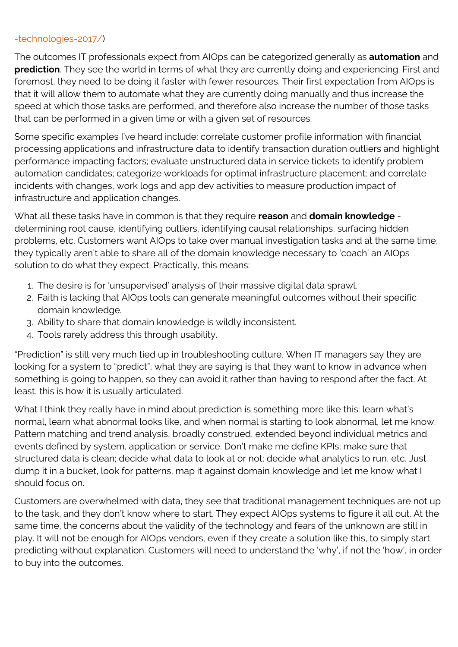#### [-technologies-2017/](https://www.gartner.com/smarterwithgartner/top-trends-in-the-gartner-hype-cycle-for-emerging-technologies-2017/))

The outcomes IT professionals expect from AIOps can be categorized generally as **automation** and **prediction**. They see the world in terms of what they are currently doing and experiencing. First and foremost, they need to be doing it faster with fewer resources. Their first expectation from AIOps is that it will allow them to automate what they are currently doing manually and thus increase the speed at which those tasks are performed, and therefore also increase the number of those tasks that can be performed in a given time or with a given set of resources.

Some specific examples I've heard include: correlate customer profile information with financial processing applications and infrastructure data to identify transaction duration outliers and highlight performance impacting factors; evaluate unstructured data in service tickets to identify problem automation candidates; categorize workloads for optimal infrastructure placement; and correlate incidents with changes, work logs and app dev activities to measure production impact of infrastructure and application changes.

What all these tasks have in common is that they require **reason** and **domain knowledge** determining root cause, identifying outliers, identifying causal relationships, surfacing hidden problems, etc. Customers want AIOps to take over manual investigation tasks and at the same time, they typically aren't able to share all of the domain knowledge necessary to 'coach' an AIOps solution to do what they expect. Practically, this means:

- 1. The desire is for 'unsupervised' analysis of their massive digital data sprawl.
- 2. Faith is lacking that AIOps tools can generate meaningful outcomes without their specific domain knowledge.
- 3. Ability to share that domain knowledge is wildly inconsistent.
- 4. Tools rarely address this through usability.

"Prediction" is still very much tied up in troubleshooting culture. When IT managers say they are looking for a system to "predict", what they are saying is that they want to know in advance when something is going to happen, so they can avoid it rather than having to respond after the fact. At least, this is how it is usually articulated.

What I think they really have in mind about prediction is something more like this: learn what's normal, learn what abnormal looks like, and when normal is starting to look abnormal, let me know. Pattern matching and trend analysis, broadly construed, extended beyond individual metrics and events defined by system, application or service. Don't make me define KPIs; make sure that structured data is clean; decide what data to look at or not; decide what analytics to run, etc. Just dump it in a bucket, look for patterns, map it against domain knowledge and let me know what I should focus on.

Customers are overwhelmed with data, they see that traditional management techniques are not up to the task, and they don't know where to start. They expect AIOps systems to figure it all out. At the same time, the concerns about the validity of the technology and fears of the unknown are still in play. It will not be enough for AIOps vendors, even if they create a solution like this, to simply start predicting without explanation. Customers will need to understand the 'why', if not the 'how', in order to buy into the outcomes.